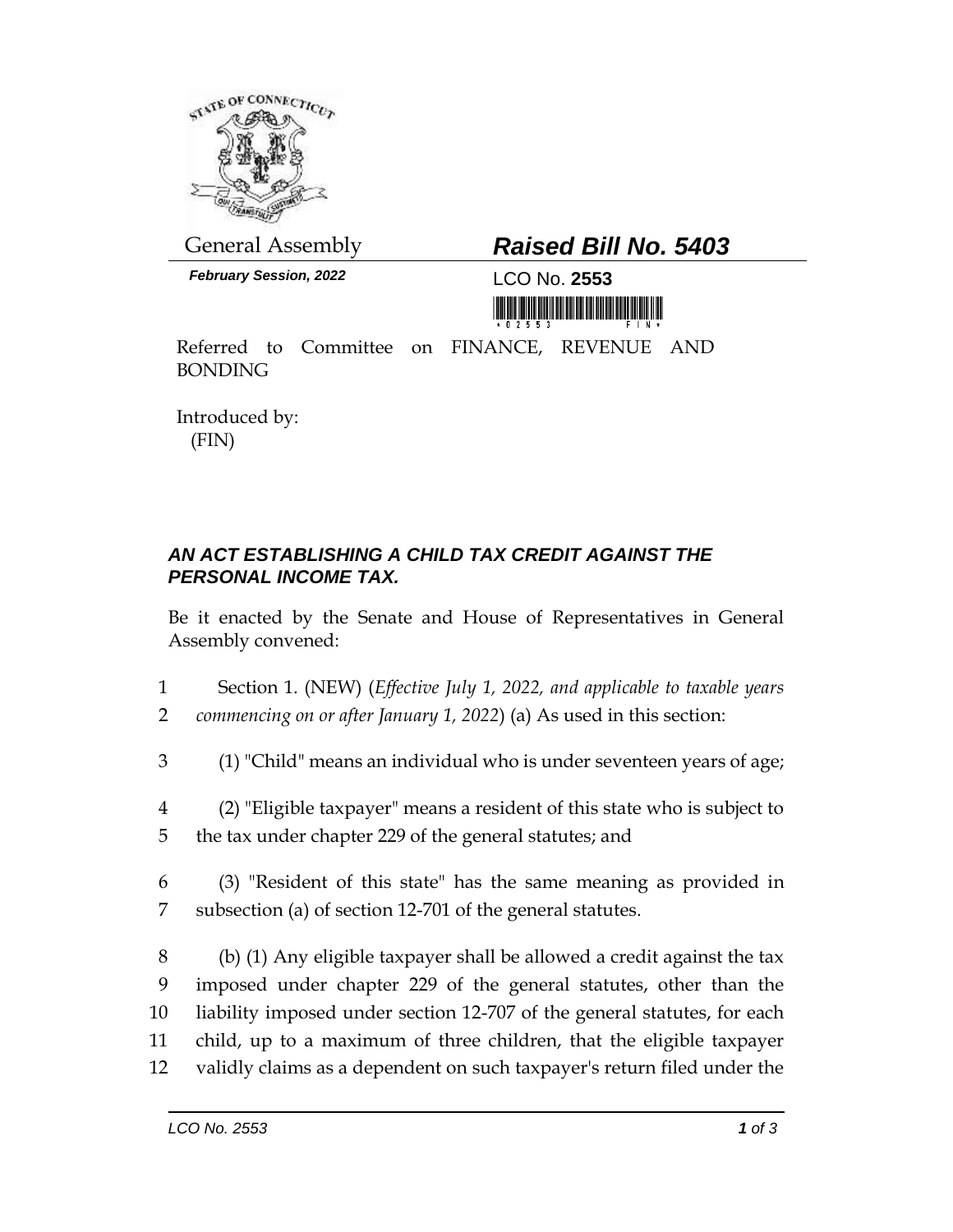

*February Session, 2022* LCO No. **2553**

## General Assembly *Raised Bill No. 5403*

<u> 1999 - Andrea Maria Alemania, ameri</u>kana amerikan

Referred to Committee on FINANCE, REVENUE AND BONDING

Introduced by: (FIN)

## *AN ACT ESTABLISHING A CHILD TAX CREDIT AGAINST THE PERSONAL INCOME TAX.*

Be it enacted by the Senate and House of Representatives in General Assembly convened:

- 1 Section 1. (NEW) (*Effective July 1, 2022, and applicable to taxable years*  2 *commencing on or after January 1, 2022*) (a) As used in this section:
- 3 (1) "Child" means an individual who is under seventeen years of age;
- 4 (2) "Eligible taxpayer" means a resident of this state who is subject to
- 5 the tax under chapter 229 of the general statutes; and
- 6 (3) "Resident of this state" has the same meaning as provided in 7 subsection (a) of section 12-701 of the general statutes.

 (b) (1) Any eligible taxpayer shall be allowed a credit against the tax imposed under chapter 229 of the general statutes, other than the liability imposed under section 12-707 of the general statutes, for each child, up to a maximum of three children, that the eligible taxpayer validly claims as a dependent on such taxpayer's return filed under the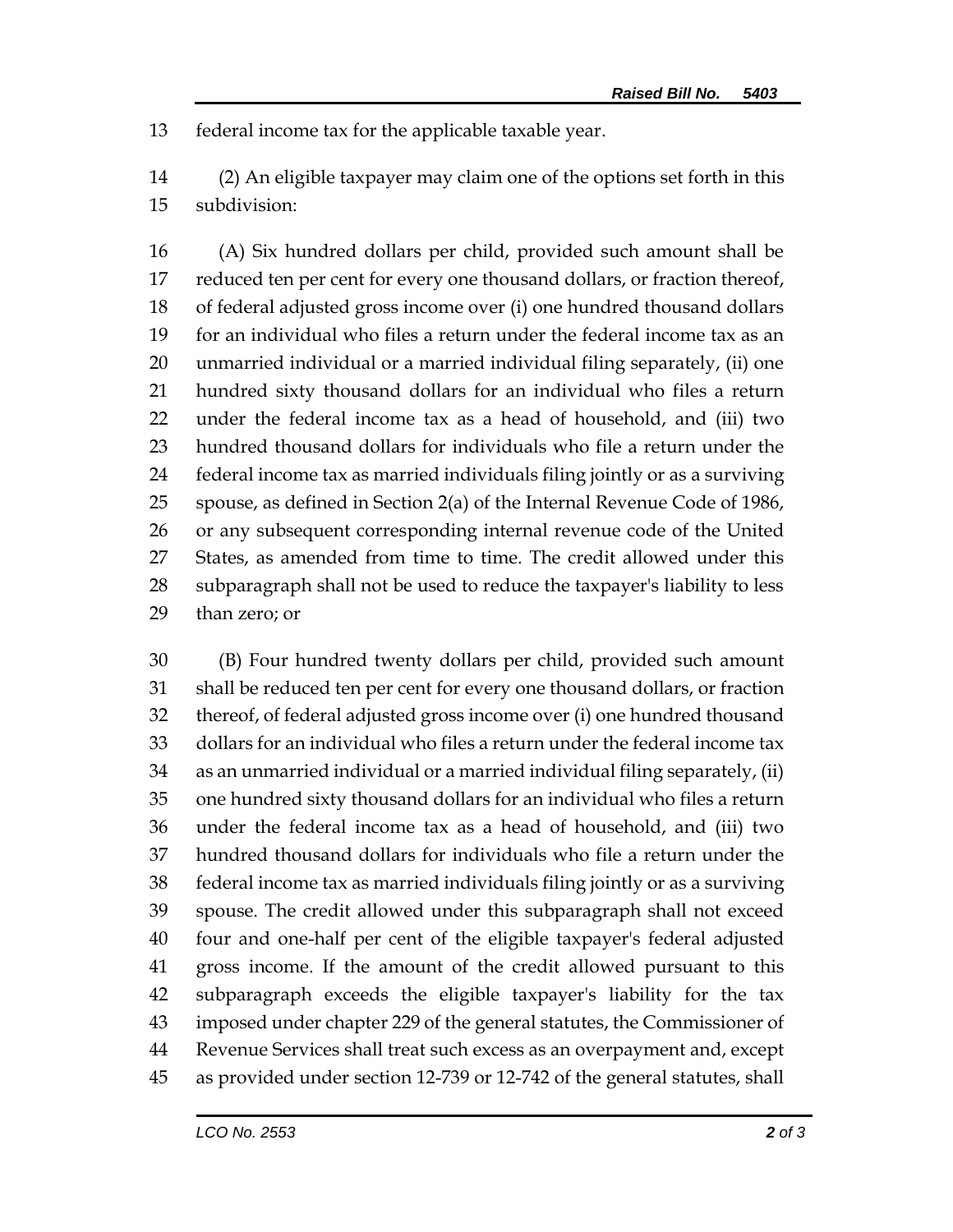federal income tax for the applicable taxable year.

 (2) An eligible taxpayer may claim one of the options set forth in this subdivision:

 (A) Six hundred dollars per child, provided such amount shall be reduced ten per cent for every one thousand dollars, or fraction thereof, of federal adjusted gross income over (i) one hundred thousand dollars for an individual who files a return under the federal income tax as an unmarried individual or a married individual filing separately, (ii) one hundred sixty thousand dollars for an individual who files a return under the federal income tax as a head of household, and (iii) two hundred thousand dollars for individuals who file a return under the federal income tax as married individuals filing jointly or as a surviving spouse, as defined in Section 2(a) of the Internal Revenue Code of 1986, or any subsequent corresponding internal revenue code of the United States, as amended from time to time. The credit allowed under this subparagraph shall not be used to reduce the taxpayer's liability to less than zero; or

 (B) Four hundred twenty dollars per child, provided such amount shall be reduced ten per cent for every one thousand dollars, or fraction thereof, of federal adjusted gross income over (i) one hundred thousand dollars for an individual who files a return under the federal income tax as an unmarried individual or a married individual filing separately, (ii) one hundred sixty thousand dollars for an individual who files a return under the federal income tax as a head of household, and (iii) two hundred thousand dollars for individuals who file a return under the federal income tax as married individuals filing jointly or as a surviving spouse. The credit allowed under this subparagraph shall not exceed four and one-half per cent of the eligible taxpayer's federal adjusted gross income. If the amount of the credit allowed pursuant to this subparagraph exceeds the eligible taxpayer's liability for the tax imposed under chapter 229 of the general statutes, the Commissioner of Revenue Services shall treat such excess as an overpayment and, except as provided under section 12-739 or 12-742 of the general statutes, shall